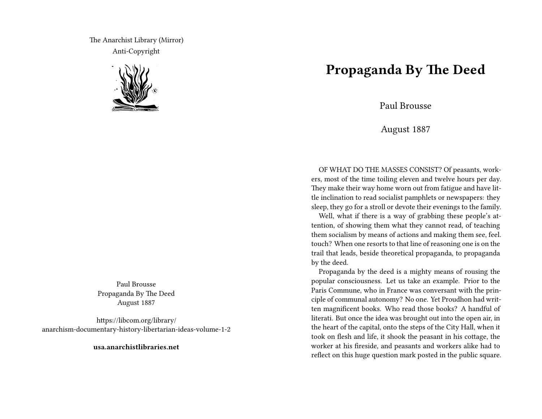The Anarchist Library (Mirror) Anti-Copyright



Paul Brousse Propaganda By The Deed August 1887

https://libcom.org/library/ anarchism-documentary-history-libertarian-ideas-volume-1-2

**usa.anarchistlibraries.net**

## **Propaganda By The Deed**

Paul Brousse

August 1887

OF WHAT DO THE MASSES CONSIST? Of peasants, workers, most of the time toiling eleven and twelve hours per day. They make their way home worn out from fatigue and have little inclination to read socialist pamphlets or newspapers: they sleep, they go for a stroll or devote their evenings to the family.

Well, what if there is a way of grabbing these people's attention, of showing them what they cannot read, of teaching them socialism by means of actions and making them see, feel. touch? When one resorts to that line of reasoning one is on the trail that leads, beside theoretical propaganda, to propaganda by the deed.

Propaganda by the deed is a mighty means of rousing the popular consciousness. Let us take an example. Prior to the Paris Commune, who in France was conversant with the principle of communal autonomy? No one. Yet Proudhon had written magnificent books. Who read those books? A handful of literati. But once the idea was brought out into the open air, in the heart of the capital, onto the steps of the City Hall, when it took on flesh and life, it shook the peasant in his cottage, the worker at his fireside, and peasants and workers alike had to reflect on this huge question mark posted in the public square.